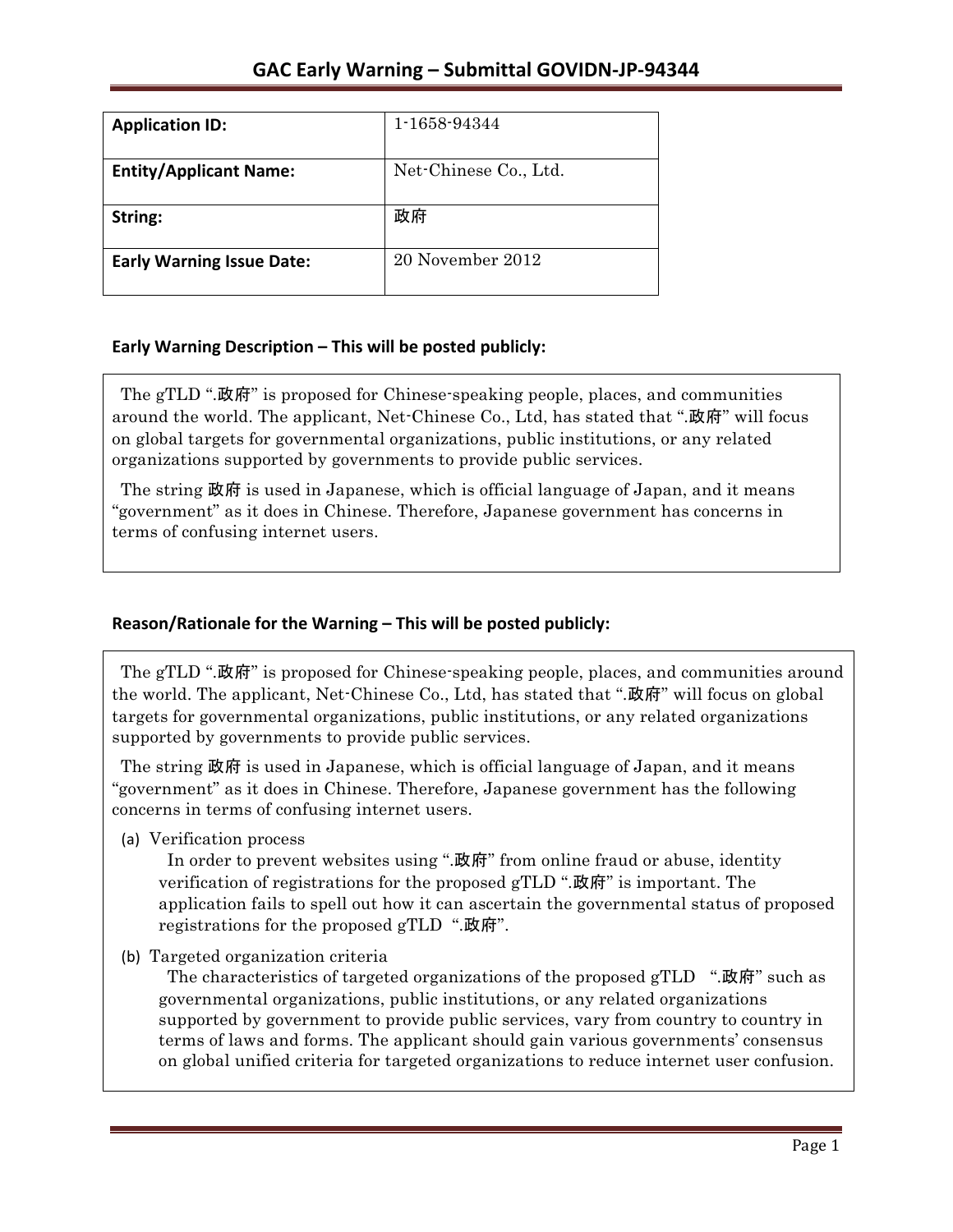| <b>Application ID:</b>           | 1-1658-94344          |
|----------------------------------|-----------------------|
| <b>Entity/Applicant Name:</b>    | Net-Chinese Co., Ltd. |
| String:                          | 政府                    |
| <b>Early Warning Issue Date:</b> | 20 November 2012      |

### **Early Warning Description – This will be posted publicly:**

The gTLD ".政府" is proposed for Chinese-speaking people, places, and communities around the world. The applicant, Net-Chinese Co., Ltd, has stated that ".政府" will focus on global targets for governmental organizations, public institutions, or any related organizations supported by governments to provide public services.

The string 政府 is used in Japanese, which is official language of Japan, and it means "government" as it does in Chinese. Therefore, Japanese government has concerns in terms of confusing internet users.

## Reason/Rationale for the Warning - This will be posted publicly:

The gTLD ".政府" is proposed for Chinese-speaking people, places, and communities around the world. The applicant, Net-Chinese Co., Ltd, has stated that ".政府" will focus on global targets for governmental organizations, public institutions, or any related organizations supported by governments to provide public services.

The string 政府 is used in Japanese, which is official language of Japan, and it means "government" as it does in Chinese. Therefore, Japanese government has the following concerns in terms of confusing internet users.

(a) Verification process

In order to prevent websites using ".政府" from online fraud or abuse, identity verification of registrations for the proposed  $gTLD$  ".政府" is important. The application fails to spell out how it can ascertain the governmental status of proposed registrations for the proposed gTLD ".政府".

(b) Targeted organization criteria

The characteristics of targeted organizations of the proposed gTLD ".政府" such as governmental organizations, public institutions, or any related organizations supported by government to provide public services, vary from country to country in terms of laws and forms. The applicant should gain various governments' consensus on global unified criteria for targeted organizations to reduce internet user confusion.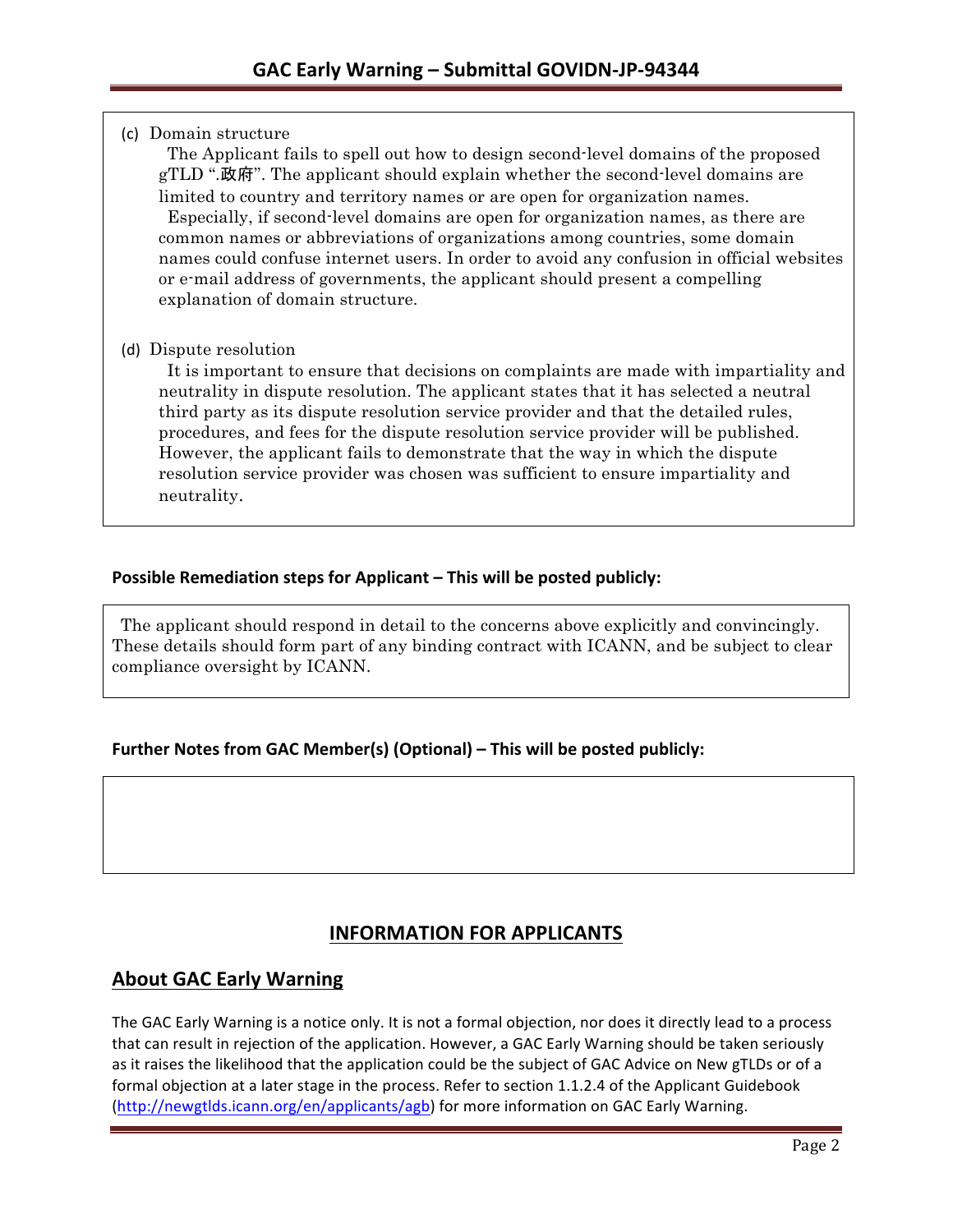(c) Domain structure

The Applicant fails to spell out how to design second-level domains of the proposed gTLD ".政府". The applicant should explain whether the second-level domains are limited to country and territory names or are open for organization names. Especially, if second-level domains are open for organization names, as there are common names or abbreviations of organizations among countries, some domain names could confuse internet users. In order to avoid any confusion in official websites or e-mail address of governments, the applicant should present a compelling explanation of domain structure.

### (d) Dispute resolution

It is important to ensure that decisions on complaints are made with impartiality and neutrality in dispute resolution. The applicant states that it has selected a neutral third party as its dispute resolution service provider and that the detailed rules, procedures, and fees for the dispute resolution service provider will be published. However, the applicant fails to demonstrate that the way in which the dispute resolution service provider was chosen was sufficient to ensure impartiality and neutrality.

### **Possible Remediation steps for Applicant – This will be posted publicly:**

The applicant should respond in detail to the concerns above explicitly and convincingly. These details should form part of any binding contract with ICANN, and be subject to clear compliance oversight by ICANN.

### **Further Notes from GAC Member(s) (Optional) – This will be posted publicly:**

# **INFORMATION FOR APPLICANTS**

### **About GAC Early Warning**

The GAC Early Warning is a notice only. It is not a formal objection, nor does it directly lead to a process that can result in rejection of the application. However, a GAC Early Warning should be taken seriously as it raises the likelihood that the application could be the subject of GAC Advice on New gTLDs or of a formal objection at a later stage in the process. Refer to section 1.1.2.4 of the Applicant Guidebook (http://newgtlds.icann.org/en/applicants/agb) for more information on GAC Early Warning.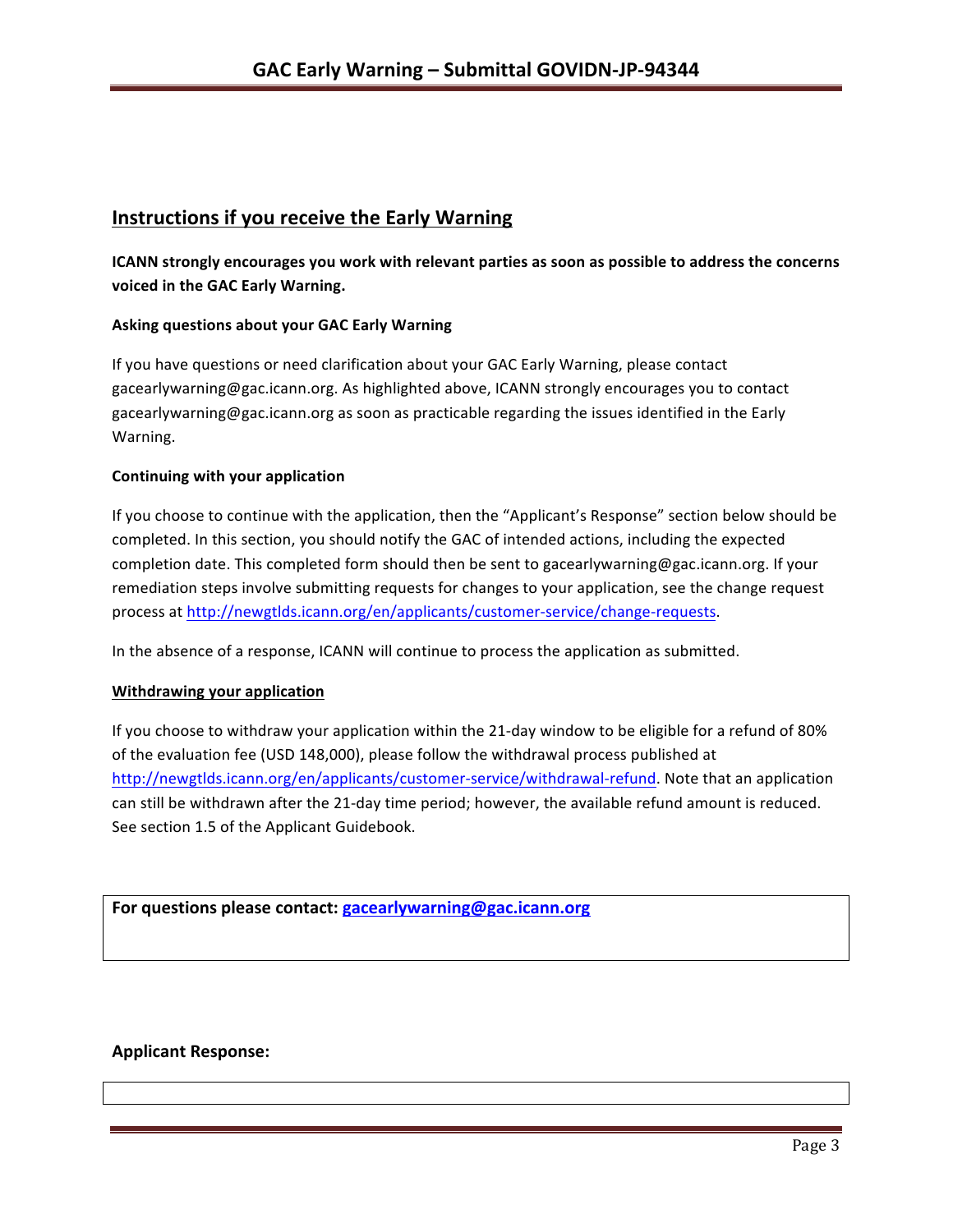## **Instructions if you receive the Early Warning**

**ICANN** strongly encourages you work with relevant parties as soon as possible to address the concerns voiced in the GAC Early Warning.

#### **Asking questions about your GAC Early Warning**

If you have questions or need clarification about your GAC Early Warning, please contact gacearlywarning@gac.icann.org. As highlighted above, ICANN strongly encourages you to contact gacearlywarning@gac.icann.org as soon as practicable regarding the issues identified in the Early Warning. 

#### **Continuing with your application**

If you choose to continue with the application, then the "Applicant's Response" section below should be completed. In this section, you should notify the GAC of intended actions, including the expected completion date. This completed form should then be sent to gacearlywarning@gac.icann.org. If your remediation steps involve submitting requests for changes to your application, see the change request process at http://newgtlds.icann.org/en/applicants/customer-service/change-requests.

In the absence of a response, ICANN will continue to process the application as submitted.

#### **Withdrawing your application**

If you choose to withdraw your application within the 21-day window to be eligible for a refund of 80% of the evaluation fee (USD 148,000), please follow the withdrawal process published at http://newgtlds.icann.org/en/applicants/customer-service/withdrawal-refund. Note that an application can still be withdrawn after the 21-day time period; however, the available refund amount is reduced. See section 1.5 of the Applicant Guidebook.

For questions please contact: gacearlywarning@gac.icann.org

#### **Applicant Response:**